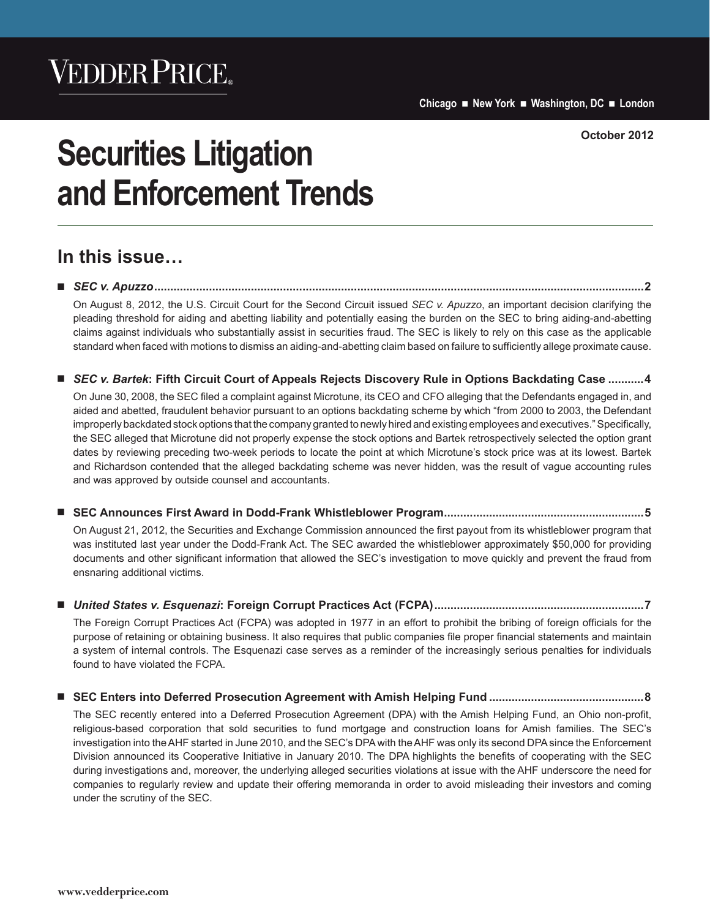# **Securities Litigation and Enforcement Trends**

# **In this issue…**

n *SEC v. Apuzzo***........................................................................................................................................................2** On August 8, 2012, the U.S. Circuit Court for the Second Circuit issued *SEC v. Apuzzo*, an important decision clarifying the pleading threshold for aiding and abetting liability and potentially easing the burden on the SEC to bring aiding-and-abetting claims against individuals who substantially assist in securities fraud. The SEC is likely to rely on this case as the applicable standard when faced with motions to dismiss an aiding-and-abetting claim based on failure to sufficiently allege proximate cause.

■ *SEC v. Bartek*: Fifth Circuit Court of Appeals Rejects Discovery Rule in Options Backdating Case ...........4

On June 30, 2008, the SEC filed a complaint against Microtune, its CEO and CFO alleging that the Defendants engaged in, and aided and abetted, fraudulent behavior pursuant to an options backdating scheme by which "from 2000 to 2003, the Defendant improperly backdated stock options that the company granted to newly hired and existing employees and executives." Specifically, the SEC alleged that Microtune did not properly expense the stock options and Bartek retrospectively selected the option grant dates by reviewing preceding two-week periods to locate the point at which Microtune's stock price was at its lowest. Bartek and Richardson contended that the alleged backdating scheme was never hidden, was the result of vague accounting rules and was approved by outside counsel and accountants.

n **SEC Announces First Award in Dodd-Frank Whistleblower Program..............................................................5**

On August 21, 2012, the Securities and Exchange Commission announced the first payout from its whistleblower program that was instituted last year under the Dodd-Frank Act. The SEC awarded the whistleblower approximately \$50,000 for providing documents and other significant information that allowed the SEC's investigation to move quickly and prevent the fraud from ensnaring additional victims.

#### n *United States v. Esquenazi***: Foreign Corrupt Practices Act (FCPA).................................................................7**

The Foreign Corrupt Practices Act (FCPA) was adopted in 1977 in an effort to prohibit the bribing of foreign officials for the purpose of retaining or obtaining business. It also requires that public companies file proper financial statements and maintain a system of internal controls. The Esquenazi case serves as a reminder of the increasingly serious penalties for individuals found to have violated the FCPA.

n **SEC Enters into Deferred Prosecution Agreement with Amish Helping Fund ................................................8**

The SEC recently entered into a Deferred Prosecution Agreement (DPA) with the Amish Helping Fund, an Ohio non-profit, religious-based corporation that sold securities to fund mortgage and construction loans for Amish families. The SEC's investigation into the AHF started in June 2010, and the SEC's DPA with the AHF was only its second DPA since the Enforcement Division announced its Cooperative Initiative in January 2010. The DPA highlights the benefits of cooperating with the SEC during investigations and, moreover, the underlying alleged securities violations at issue with the AHF underscore the need for companies to regularly review and update their offering memoranda in order to avoid misleading their investors and coming under the scrutiny of the SEC.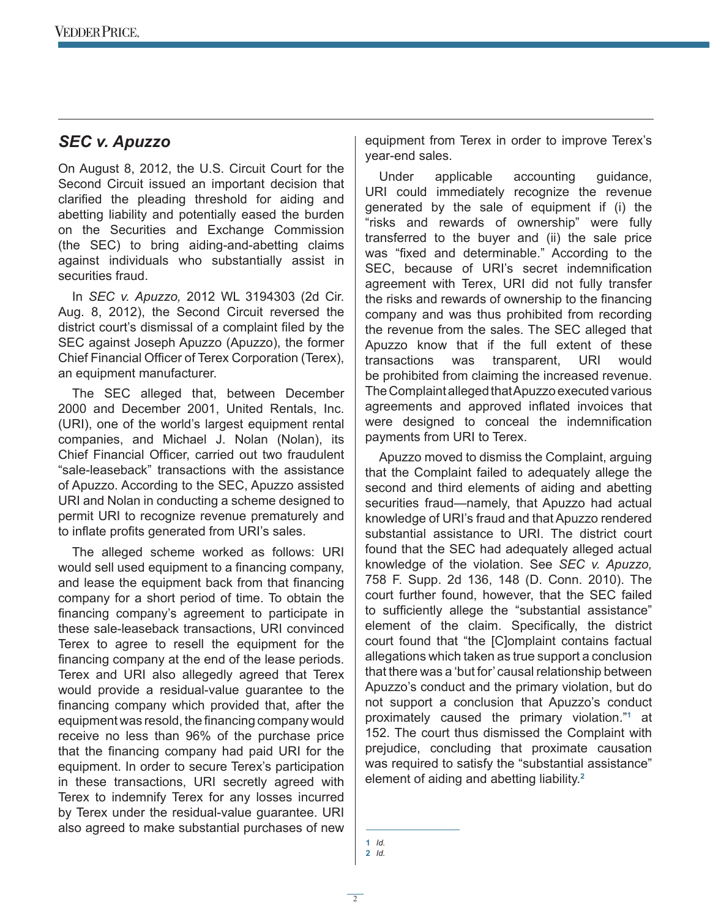# *SEC v. Apuzzo*

On August 8, 2012, the U.S. Circuit Court for the Second Circuit issued an important decision that clarified the pleading threshold for aiding and abetting liability and potentially eased the burden on the Securities and Exchange Commission (the SEC) to bring aiding-and-abetting claims against individuals who substantially assist in securities fraud.

In *SEC v. Apuzzo,* 2012 WL 3194303 (2d Cir. Aug. 8, 2012), the Second Circuit reversed the district court's dismissal of a complaint filed by the SEC against Joseph Apuzzo (Apuzzo), the former Chief Financial Officer of Terex Corporation (Terex), an equipment manufacturer.

The SEC alleged that, between December 2000 and December 2001, United Rentals, Inc. (URI), one of the world's largest equipment rental companies, and Michael J. Nolan (Nolan), its Chief Financial Officer, carried out two fraudulent "sale-leaseback" transactions with the assistance of Apuzzo. According to the SEC, Apuzzo assisted URI and Nolan in conducting a scheme designed to permit URI to recognize revenue prematurely and to inflate profits generated from URI's sales.

The alleged scheme worked as follows: URI would sell used equipment to a financing company, and lease the equipment back from that financing company for a short period of time. To obtain the financing company's agreement to participate in these sale-leaseback transactions, URI convinced Terex to agree to resell the equipment for the financing company at the end of the lease periods. Terex and URI also allegedly agreed that Terex would provide a residual-value guarantee to the financing company which provided that, after the equipment was resold, the financing company would receive no less than 96% of the purchase price that the financing company had paid URI for the equipment. In order to secure Terex's participation in these transactions, URI secretly agreed with Terex to indemnify Terex for any losses incurred by Terex under the residual-value guarantee. URI also agreed to make substantial purchases of new

equipment from Terex in order to improve Terex's year-end sales.

Under applicable accounting guidance, URI could immediately recognize the revenue generated by the sale of equipment if (i) the "risks and rewards of ownership" were fully transferred to the buyer and (ii) the sale price was "fixed and determinable." According to the SEC, because of URI's secret indemnification agreement with Terex, URI did not fully transfer the risks and rewards of ownership to the financing company and was thus prohibited from recording the revenue from the sales. The SEC alleged that Apuzzo know that if the full extent of these transactions was transparent, URI would be prohibited from claiming the increased revenue. The Complaint alleged that Apuzzo executed various agreements and approved inflated invoices that were designed to conceal the indemnification payments from URI to Terex.

Apuzzo moved to dismiss the Complaint, arguing that the Complaint failed to adequately allege the second and third elements of aiding and abetting securities fraud—namely, that Apuzzo had actual knowledge of URI's fraud and that Apuzzo rendered substantial assistance to URI. The district court found that the SEC had adequately alleged actual knowledge of the violation. See *SEC v. Apuzzo,*  758 F. Supp. 2d 136, 148 (D. Conn. 2010). The court further found, however, that the SEC failed to sufficiently allege the "substantial assistance" element of the claim. Specifically, the district court found that "the [C]omplaint contains factual allegations which taken as true support a conclusion that there was a 'but for' causal relationship between Apuzzo's conduct and the primary violation, but do not support a conclusion that Apuzzo's conduct proximately caused the primary violation."**<sup>1</sup>** at 152. The court thus dismissed the Complaint with prejudice, concluding that proximate causation was required to satisfy the "substantial assistance" element of aiding and abetting liability.**<sup>2</sup>**

**<sup>1</sup>** *Id.*  **2** *Id.*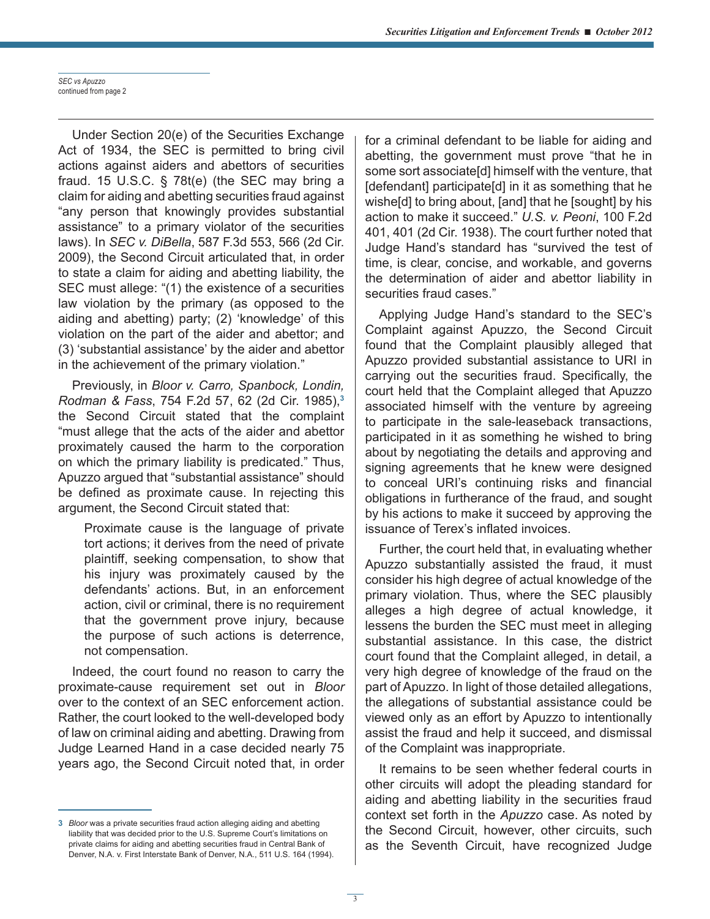*SEC vs Apuzzo* continued from page 2

Under Section 20(e) of the Securities Exchange Act of 1934, the SEC is permitted to bring civil actions against aiders and abettors of securities fraud. 15 U.S.C. § 78t(e) (the SEC may bring a claim for aiding and abetting securities fraud against "any person that knowingly provides substantial assistance" to a primary violator of the securities laws). In *SEC v. DiBella*, 587 F.3d 553, 566 (2d Cir. 2009), the Second Circuit articulated that, in order to state a claim for aiding and abetting liability, the SEC must allege: "(1) the existence of a securities law violation by the primary (as opposed to the aiding and abetting) party; (2) 'knowledge' of this violation on the part of the aider and abettor; and (3) 'substantial assistance' by the aider and abettor in the achievement of the primary violation."

Previously, in *Bloor v. Carro, Spanbock, Londin, Rodman & Fass*, 754 F.2d 57, 62 (2d Cir. 1985),**<sup>3</sup>** the Second Circuit stated that the complaint "must allege that the acts of the aider and abettor proximately caused the harm to the corporation on which the primary liability is predicated." Thus, Apuzzo argued that "substantial assistance" should be defined as proximate cause. In rejecting this argument, the Second Circuit stated that:

Proximate cause is the language of private tort actions; it derives from the need of private plaintiff, seeking compensation, to show that his injury was proximately caused by the defendants' actions. But, in an enforcement action, civil or criminal, there is no requirement that the government prove injury, because the purpose of such actions is deterrence, not compensation.

Indeed, the court found no reason to carry the proximate-cause requirement set out in *Bloor* over to the context of an SEC enforcement action. Rather, the court looked to the well-developed body of law on criminal aiding and abetting. Drawing from Judge Learned Hand in a case decided nearly 75 years ago, the Second Circuit noted that, in order for a criminal defendant to be liable for aiding and abetting, the government must prove "that he in some sort associate[d] himself with the venture, that [defendant] participate[d] in it as something that he wishe[d] to bring about, [and] that he [sought] by his action to make it succeed." *U.S. v. Peoni*, 100 F.2d 401, 401 (2d Cir. 1938). The court further noted that Judge Hand's standard has "survived the test of time, is clear, concise, and workable, and governs the determination of aider and abettor liability in securities fraud cases."

Applying Judge Hand's standard to the SEC's Complaint against Apuzzo, the Second Circuit found that the Complaint plausibly alleged that Apuzzo provided substantial assistance to URI in carrying out the securities fraud. Specifically, the court held that the Complaint alleged that Apuzzo associated himself with the venture by agreeing to participate in the sale-leaseback transactions, participated in it as something he wished to bring about by negotiating the details and approving and signing agreements that he knew were designed to conceal URI's continuing risks and financial obligations in furtherance of the fraud, and sought by his actions to make it succeed by approving the issuance of Terex's inflated invoices.

Further, the court held that, in evaluating whether Apuzzo substantially assisted the fraud, it must consider his high degree of actual knowledge of the primary violation. Thus, where the SEC plausibly alleges a high degree of actual knowledge, it lessens the burden the SEC must meet in alleging substantial assistance. In this case, the district court found that the Complaint alleged, in detail, a very high degree of knowledge of the fraud on the part of Apuzzo. In light of those detailed allegations, the allegations of substantial assistance could be viewed only as an effort by Apuzzo to intentionally assist the fraud and help it succeed, and dismissal of the Complaint was inappropriate.

It remains to be seen whether federal courts in other circuits will adopt the pleading standard for aiding and abetting liability in the securities fraud context set forth in the *Apuzzo* case. As noted by the Second Circuit, however, other circuits, such as the Seventh Circuit, have recognized Judge

**<sup>3</sup>** *Bloor* was a private securities fraud action alleging aiding and abetting liability that was decided prior to the U.S. Supreme Court's limitations on private claims for aiding and abetting securities fraud in Central Bank of Denver, N.A. v. First Interstate Bank of Denver, N.A., 511 U.S. 164 (1994).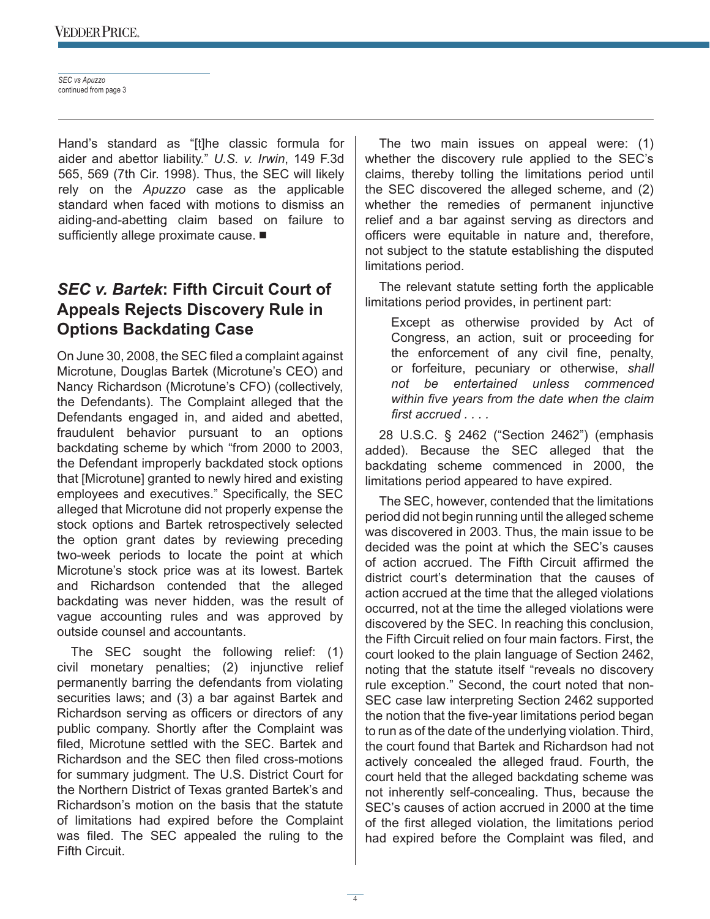*SEC vs Apuzzo* continued from page 3

Hand's standard as "[t]he classic formula for aider and abettor liability." *U.S. v. Irwin*, 149 F.3d 565, 569 (7th Cir. 1998). Thus, the SEC will likely rely on the *Apuzzo* case as the applicable standard when faced with motions to dismiss an aiding-and-abetting claim based on failure to sufficiently allege proximate cause.  $\blacksquare$ 

# *SEC v. Bartek***: Fifth Circuit Court of Appeals Rejects Discovery Rule in Options Backdating Case**

On June 30, 2008, the SEC filed a complaint against Microtune, Douglas Bartek (Microtune's CEO) and Nancy Richardson (Microtune's CFO) (collectively, the Defendants). The Complaint alleged that the Defendants engaged in, and aided and abetted, fraudulent behavior pursuant to an options backdating scheme by which "from 2000 to 2003, the Defendant improperly backdated stock options that [Microtune] granted to newly hired and existing employees and executives." Specifically, the SEC alleged that Microtune did not properly expense the stock options and Bartek retrospectively selected the option grant dates by reviewing preceding two-week periods to locate the point at which Microtune's stock price was at its lowest. Bartek and Richardson contended that the alleged backdating was never hidden, was the result of vague accounting rules and was approved by outside counsel and accountants.

The SEC sought the following relief: (1) civil monetary penalties; (2) injunctive relief permanently barring the defendants from violating securities laws; and (3) a bar against Bartek and Richardson serving as officers or directors of any public company. Shortly after the Complaint was filed, Microtune settled with the SEC. Bartek and Richardson and the SEC then filed cross-motions for summary judgment. The U.S. District Court for the Northern District of Texas granted Bartek's and Richardson's motion on the basis that the statute of limitations had expired before the Complaint was filed. The SEC appealed the ruling to the Fifth Circuit.

The two main issues on appeal were: (1) whether the discovery rule applied to the SEC's claims, thereby tolling the limitations period until the SEC discovered the alleged scheme, and (2) whether the remedies of permanent injunctive relief and a bar against serving as directors and officers were equitable in nature and, therefore, not subject to the statute establishing the disputed limitations period.

The relevant statute setting forth the applicable limitations period provides, in pertinent part:

Except as otherwise provided by Act of Congress, an action, suit or proceeding for the enforcement of any civil fine, penalty, or forfeiture, pecuniary or otherwise, *shall not be entertained unless commenced within five years from the date when the claim first accrued . . . .*

28 U.S.C. § 2462 ("Section 2462") (emphasis added). Because the SEC alleged that the backdating scheme commenced in 2000, the limitations period appeared to have expired.

The SEC, however, contended that the limitations period did not begin running until the alleged scheme was discovered in 2003. Thus, the main issue to be decided was the point at which the SEC's causes of action accrued. The Fifth Circuit affirmed the district court's determination that the causes of action accrued at the time that the alleged violations occurred, not at the time the alleged violations were discovered by the SEC. In reaching this conclusion, the Fifth Circuit relied on four main factors. First, the court looked to the plain language of Section 2462, noting that the statute itself "reveals no discovery rule exception." Second, the court noted that non-SEC case law interpreting Section 2462 supported the notion that the five-year limitations period began to run as of the date of the underlying violation. Third, the court found that Bartek and Richardson had not actively concealed the alleged fraud. Fourth, the court held that the alleged backdating scheme was not inherently self-concealing. Thus, because the SEC's causes of action accrued in 2000 at the time of the first alleged violation, the limitations period had expired before the Complaint was filed, and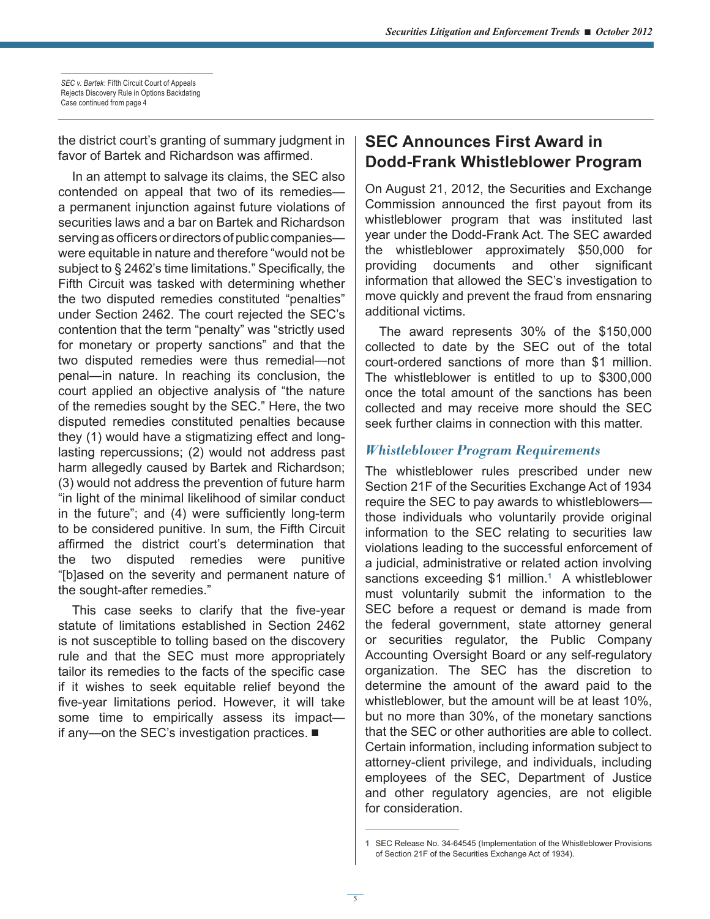*SEC v. Bartek*: Fifth Circuit Court of Appeals Rejects Discovery Rule in Options Backdating Case continued from page 4

the district court's granting of summary judgment in favor of Bartek and Richardson was affirmed.

In an attempt to salvage its claims, the SEC also contended on appeal that two of its remedies a permanent injunction against future violations of securities laws and a bar on Bartek and Richardson serving as officers or directors of public companies were equitable in nature and therefore "would not be subject to § 2462's time limitations." Specifically, the Fifth Circuit was tasked with determining whether the two disputed remedies constituted "penalties" under Section 2462. The court rejected the SEC's contention that the term "penalty" was "strictly used for monetary or property sanctions" and that the two disputed remedies were thus remedial—not penal—in nature. In reaching its conclusion, the court applied an objective analysis of "the nature of the remedies sought by the SEC." Here, the two disputed remedies constituted penalties because they (1) would have a stigmatizing effect and longlasting repercussions; (2) would not address past harm allegedly caused by Bartek and Richardson; (3) would not address the prevention of future harm "in light of the minimal likelihood of similar conduct in the future"; and (4) were sufficiently long-term to be considered punitive. In sum, the Fifth Circuit affirmed the district court's determination that the two disputed remedies were punitive "[b]ased on the severity and permanent nature of the sought-after remedies."

This case seeks to clarify that the five-year statute of limitations established in Section 2462 is not susceptible to tolling based on the discovery rule and that the SEC must more appropriately tailor its remedies to the facts of the specific case if it wishes to seek equitable relief beyond the five-year limitations period. However, it will take some time to empirically assess its impact if any-on the SEC's investigation practices.  $\blacksquare$ 

# **SEC Announces First Award in Dodd-Frank Whistleblower Program**

On August 21, 2012, the Securities and Exchange Commission announced the first payout from its whistleblower program that was instituted last year under the Dodd-Frank Act. The SEC awarded the whistleblower approximately \$50,000 for providing documents and other significant information that allowed the SEC's investigation to move quickly and prevent the fraud from ensnaring additional victims.

The award represents 30% of the \$150,000 collected to date by the SEC out of the total court-ordered sanctions of more than \$1 million. The whistleblower is entitled to up to \$300,000 once the total amount of the sanctions has been collected and may receive more should the SEC seek further claims in connection with this matter.

#### *Whistleblower Program Requirements*

The whistleblower rules prescribed under new Section 21F of the Securities Exchange Act of 1934 require the SEC to pay awards to whistleblowers those individuals who voluntarily provide original information to the SEC relating to securities law violations leading to the successful enforcement of a judicial, administrative or related action involving sanctions exceeding \$1 million.**<sup>1</sup>** A whistleblower must voluntarily submit the information to the SEC before a request or demand is made from the federal government, state attorney general or securities regulator, the Public Company Accounting Oversight Board or any self-regulatory organization. The SEC has the discretion to determine the amount of the award paid to the whistleblower, but the amount will be at least 10%, but no more than 30%, of the monetary sanctions that the SEC or other authorities are able to collect. Certain information, including information subject to attorney-client privilege, and individuals, including employees of the SEC, Department of Justice and other regulatory agencies, are not eligible for consideration.

**<sup>1</sup>** SEC Release No. 34-64545 (Implementation of the Whistleblower Provisions of Section 21F of the Securities Exchange Act of 1934).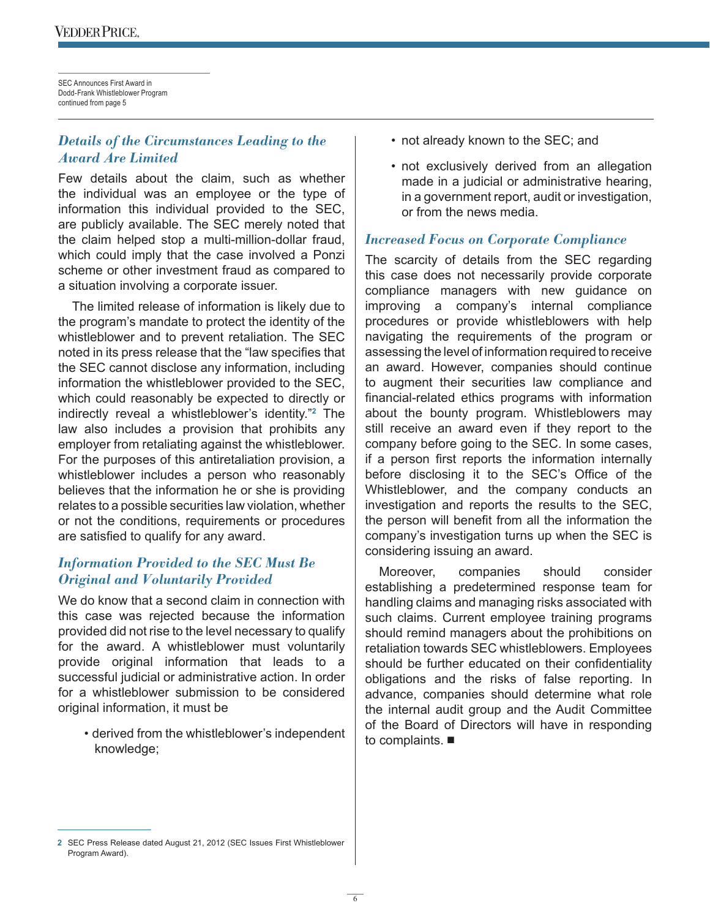SEC Announces First Award in Dodd-Frank Whistleblower Program continued from page 5

## *Details of the Circumstances Leading to the Award Are Limited*

Few details about the claim, such as whether the individual was an employee or the type of information this individual provided to the SEC, are publicly available. The SEC merely noted that the claim helped stop a multi-million-dollar fraud, which could imply that the case involved a Ponzi scheme or other investment fraud as compared to a situation involving a corporate issuer.

The limited release of information is likely due to the program's mandate to protect the identity of the whistleblower and to prevent retaliation. The SEC noted in its press release that the "law specifies that the SEC cannot disclose any information, including information the whistleblower provided to the SEC, which could reasonably be expected to directly or indirectly reveal a whistleblower's identity."**<sup>2</sup>** The law also includes a provision that prohibits any employer from retaliating against the whistleblower. For the purposes of this antiretaliation provision, a whistleblower includes a person who reasonably believes that the information he or she is providing relates to a possible securities law violation, whether or not the conditions, requirements or procedures are satisfied to qualify for any award.

#### *Information Provided to the SEC Must Be Original and Voluntarily Provided*

We do know that a second claim in connection with this case was rejected because the information provided did not rise to the level necessary to qualify for the award. A whistleblower must voluntarily provide original information that leads to a successful judicial or administrative action. In order for a whistleblower submission to be considered original information, it must be

• derived from the whistleblower's independent knowledge;

- not already known to the SEC; and
- not exclusively derived from an allegation made in a judicial or administrative hearing, in a government report, audit or investigation, or from the news media.

#### *Increased Focus on Corporate Compliance*

The scarcity of details from the SEC regarding this case does not necessarily provide corporate compliance managers with new guidance on improving a company's internal compliance procedures or provide whistleblowers with help navigating the requirements of the program or assessing the level of information required to receive an award. However, companies should continue to augment their securities law compliance and financial-related ethics programs with information about the bounty program. Whistleblowers may still receive an award even if they report to the company before going to the SEC. In some cases, if a person first reports the information internally before disclosing it to the SEC's Office of the Whistleblower, and the company conducts an investigation and reports the results to the SEC, the person will benefit from all the information the company's investigation turns up when the SEC is considering issuing an award.

Moreover, companies should consider establishing a predetermined response team for handling claims and managing risks associated with such claims. Current employee training programs should remind managers about the prohibitions on retaliation towards SEC whistleblowers. Employees should be further educated on their confidentiality obligations and the risks of false reporting. In advance, companies should determine what role the internal audit group and the Audit Committee of the Board of Directors will have in responding to complaints.  $\blacksquare$ 

**<sup>2</sup>** SEC Press Release dated August 21, 2012 (SEC Issues First Whistleblower Program Award).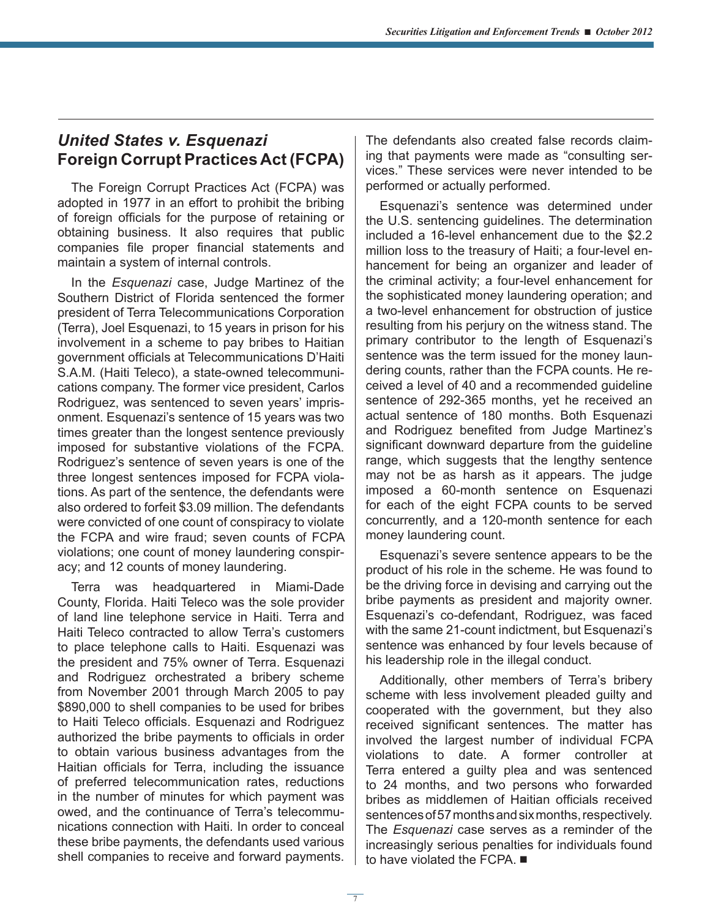# *United States v. Esquenazi* **Foreign Corrupt Practices Act (FCPA)**

The Foreign Corrupt Practices Act (FCPA) was adopted in 1977 in an effort to prohibit the bribing of foreign officials for the purpose of retaining or obtaining business. It also requires that public companies file proper financial statements and maintain a system of internal controls.

In the *Esquenazi* case, Judge Martinez of the Southern District of Florida sentenced the former president of Terra Telecommunications Corporation (Terra), Joel Esquenazi, to 15 years in prison for his involvement in a scheme to pay bribes to Haitian government officials at Telecommunications D'Haiti S.A.M. (Haiti Teleco), a state-owned telecommunications company. The former vice president, Carlos Rodriguez, was sentenced to seven years' imprisonment. Esquenazi's sentence of 15 years was two times greater than the longest sentence previously imposed for substantive violations of the FCPA. Rodriguez's sentence of seven years is one of the three longest sentences imposed for FCPA violations. As part of the sentence, the defendants were also ordered to forfeit \$3.09 million. The defendants were convicted of one count of conspiracy to violate the FCPA and wire fraud; seven counts of FCPA violations; one count of money laundering conspiracy; and 12 counts of money laundering.

Terra was headquartered in Miami-Dade County, Florida. Haiti Teleco was the sole provider of land line telephone service in Haiti. Terra and Haiti Teleco contracted to allow Terra's customers to place telephone calls to Haiti. Esquenazi was the president and 75% owner of Terra. Esquenazi and Rodriguez orchestrated a bribery scheme from November 2001 through March 2005 to pay \$890,000 to shell companies to be used for bribes to Haiti Teleco officials. Esquenazi and Rodriguez authorized the bribe payments to officials in order to obtain various business advantages from the Haitian officials for Terra, including the issuance of preferred telecommunication rates, reductions in the number of minutes for which payment was owed, and the continuance of Terra's telecommunications connection with Haiti. In order to conceal these bribe payments, the defendants used various shell companies to receive and forward payments.

The defendants also created false records claiming that payments were made as "consulting services." These services were never intended to be performed or actually performed.

Esquenazi's sentence was determined under the U.S. sentencing guidelines. The determination included a 16-level enhancement due to the \$2.2 million loss to the treasury of Haiti; a four-level enhancement for being an organizer and leader of the criminal activity; a four-level enhancement for the sophisticated money laundering operation; and a two-level enhancement for obstruction of justice resulting from his perjury on the witness stand. The primary contributor to the length of Esquenazi's sentence was the term issued for the money laundering counts, rather than the FCPA counts. He received a level of 40 and a recommended guideline sentence of 292-365 months, yet he received an actual sentence of 180 months. Both Esquenazi and Rodriguez benefited from Judge Martinez's significant downward departure from the guideline range, which suggests that the lengthy sentence may not be as harsh as it appears. The judge imposed a 60-month sentence on Esquenazi for each of the eight FCPA counts to be served concurrently, and a 120-month sentence for each money laundering count.

Esquenazi's severe sentence appears to be the product of his role in the scheme. He was found to be the driving force in devising and carrying out the bribe payments as president and majority owner. Esquenazi's co-defendant, Rodriguez, was faced with the same 21-count indictment, but Esquenazi's sentence was enhanced by four levels because of his leadership role in the illegal conduct.

Additionally, other members of Terra's bribery scheme with less involvement pleaded guilty and cooperated with the government, but they also received significant sentences. The matter has involved the largest number of individual FCPA violations to date. A former controller at Terra entered a guilty plea and was sentenced to 24 months, and two persons who forwarded bribes as middlemen of Haitian officials received sentences of 57 months and six months, respectively. The *Esquenazi* case serves as a reminder of the increasingly serious penalties for individuals found to have violated the FCPA.  $\blacksquare$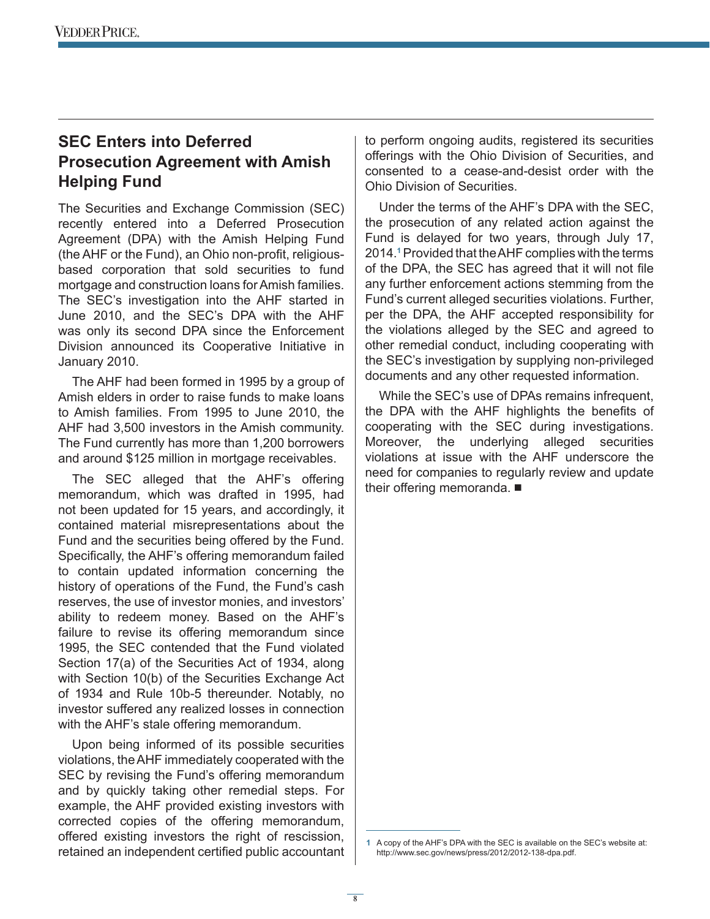# **SEC Enters into Deferred Prosecution Agreement with Amish Helping Fund**

The Securities and Exchange Commission (SEC) recently entered into a Deferred Prosecution Agreement (DPA) with the Amish Helping Fund (the AHF or the Fund), an Ohio non-profit, religiousbased corporation that sold securities to fund mortgage and construction loans for Amish families. The SEC's investigation into the AHF started in June 2010, and the SEC's DPA with the AHF was only its second DPA since the Enforcement Division announced its Cooperative Initiative in January 2010.

The AHF had been formed in 1995 by a group of Amish elders in order to raise funds to make loans to Amish families. From 1995 to June 2010, the AHF had 3,500 investors in the Amish community. The Fund currently has more than 1,200 borrowers and around \$125 million in mortgage receivables.

The SEC alleged that the AHF's offering memorandum, which was drafted in 1995, had not been updated for 15 years, and accordingly, it contained material misrepresentations about the Fund and the securities being offered by the Fund. Specifically, the AHF's offering memorandum failed to contain updated information concerning the history of operations of the Fund, the Fund's cash reserves, the use of investor monies, and investors' ability to redeem money. Based on the AHF's failure to revise its offering memorandum since 1995, the SEC contended that the Fund violated Section 17(a) of the Securities Act of 1934, along with Section 10(b) of the Securities Exchange Act of 1934 and Rule 10b-5 thereunder. Notably, no investor suffered any realized losses in connection with the AHF's stale offering memorandum.

Upon being informed of its possible securities violations, the AHF immediately cooperated with the SEC by revising the Fund's offering memorandum and by quickly taking other remedial steps. For example, the AHF provided existing investors with corrected copies of the offering memorandum, offered existing investors the right of rescission, retained an independent certified public accountant to perform ongoing audits, registered its securities offerings with the Ohio Division of Securities, and consented to a cease-and-desist order with the Ohio Division of Securities.

Under the terms of the AHF's DPA with the SEC, the prosecution of any related action against the Fund is delayed for two years, through July 17, 2014.**<sup>1</sup>** Provided that the AHF complies with the terms of the DPA, the SEC has agreed that it will not file any further enforcement actions stemming from the Fund's current alleged securities violations. Further, per the DPA, the AHF accepted responsibility for the violations alleged by the SEC and agreed to other remedial conduct, including cooperating with the SEC's investigation by supplying non-privileged documents and any other requested information.

While the SEC's use of DPAs remains infrequent, the DPA with the AHF highlights the benefits of cooperating with the SEC during investigations. Moreover, the underlying alleged securities violations at issue with the AHF underscore the need for companies to regularly review and update their offering memoranda.  $\blacksquare$ 

**<sup>1</sup>** A copy of the AHF's DPA with the SEC is available on the SEC's website at: http://www.sec.gov/news/press/2012/2012-138-dpa.pdf.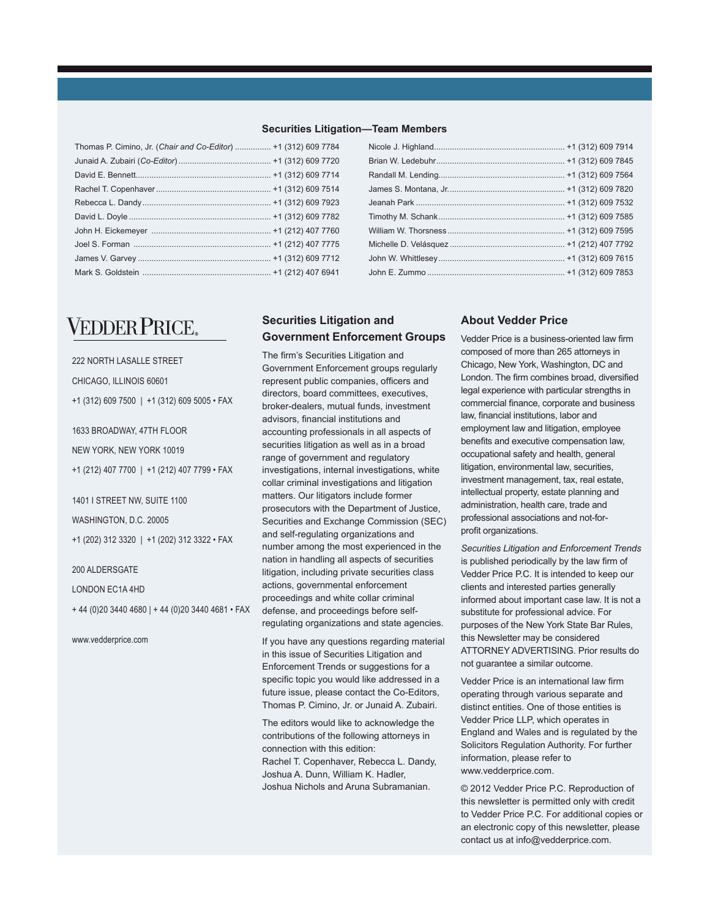#### **Securities Litigation—Team Members**

| Thomas P. Cimino, Jr. (Chair and Co-Editor)  +1 (312) 609 7784 |
|----------------------------------------------------------------|
|                                                                |
|                                                                |
|                                                                |
|                                                                |
|                                                                |
|                                                                |
|                                                                |
|                                                                |
|                                                                |

#### Nicole J. Highland.......................................................... +1 (312) 609 7914 Brian W. Ledebuhr......................................................... +1 (312) 609 7845 Randall M. Lending........................................................ +1 (312) 609 7564 James S. Montana, Jr.................................................... +1 (312) 609 7820 Jeanah Park .................................................................. +1 (312) 609 7532 Timothy M. Schank........................................................ +1 (312) 609 7585 William W. Thorsness .................................................... +1 (312) 609 7595 Michelle D. Velásquez ................................................... +1 (212) 407 7792 John W. Whittlesey........................................................ +1 (312) 609 7615 John E. Zummo ............................................................. +1 (312) 609 7853

#### **Securities Litigation and Government Enforcement Groups**

The firm's Securities Litigation and Government Enforcement groups regularly represent public companies, officers and directors, board committees, executives, broker-dealers, mutual funds, investment advisors, financial institutions and accounting professionals in all aspects of securities litigation as well as in a broad range of government and regulatory investigations, internal investigations, white collar criminal investigations and litigation matters. Our litigators include former prosecutors with the Department of Justice, Securities and Exchange Commission (SEC) and self-regulating organizations and number among the most experienced in the nation in handling all aspects of securities litigation, including private securities class actions, governmental enforcement proceedings and white collar criminal defense, and proceedings before selfregulating organizations and state agencies.

If you have any questions regarding material in this issue of Securities Litigation and Enforcement Trends or suggestions for a specific topic you would like addressed in a future issue, please contact the Co-Editors, Thomas P. Cimino, Jr. or Junaid A. Zubairi.

The editors would like to acknowledge the contributions of the following attorneys in connection with this edition: Rachel T. Copenhaver, Rebecca L. Dandy, Joshua A. Dunn, William K. Hadler, Joshua Nichols and Aruna Subramanian.

#### **About Vedder Price**

Vedder Price is a business-oriented law firm composed of more than 265 attorneys in Chicago, New York, Washington, DC and London. The firm combines broad, diversified legal experience with particular strengths in commercial finance, corporate and business law, financial institutions, labor and employment law and litigation, employee benefits and executive compensation law, occupational safety and health, general litigation, environmental law, securities, investment management, tax, real estate, intellectual property, estate planning and administration, health care, trade and professional associations and not-forprofit organizations.

*Securities Litigation and Enforcement Trends*  is published periodically by the law firm of Vedder Price P.C. It is intended to keep our clients and interested parties generally informed about important case law. It is not a substitute for professional advice. For purposes of the New York State Bar Rules, this Newsletter may be considered ATTORNEY ADVERTISING. Prior results do not guarantee a similar outcome.

Vedder Price is an international law firm operating through various separate and distinct entities. One of those entities is Vedder Price LLP, which operates in England and Wales and is regulated by the Solicitors Regulation Authority. For further information, please refer to www.vedderprice.com.

© 2012 Vedder Price P.C. Reproduction of this newsletter is permitted only with credit to Vedder Price P.C. For additional copies or an electronic copy of this newsletter, please contact us at info@vedderprice.com.

# **VEDDER PRICE.**

222 NORTH LASALLE STREET

CHICAGO, ILLINOIS 60601 +1 (312) 609 7500 | +1 (312) 609 5005 • FAX 1633 BROADWAY, 47TH FLOOR NEW YORK, NEW YORK 10019 +1 (212) 407 7700 | +1 (212) 407 7799 • FAX 1401 I STREET NW, SUITE 1100 WASHINGTON, D.C. 20005 +1 (202) 312 3320 | +1 (202) 312 3322 • FAX 200 ALDERSGATE

LONDON EC1A 4HD

+ 44 (0)20 3440 4680 | + 44 (0)20 3440 4681 • FAX

www.vedderprice.com